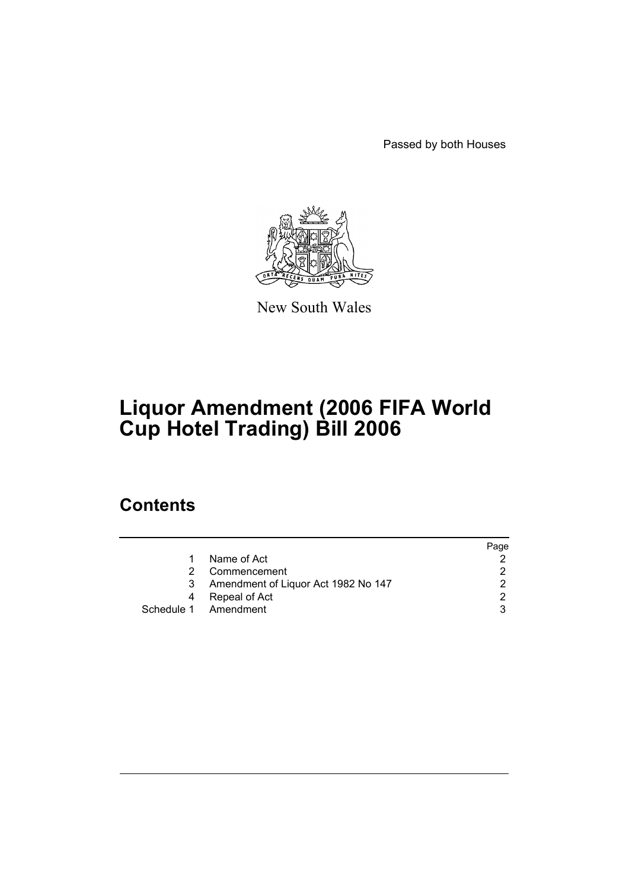Passed by both Houses



New South Wales

# **Liquor Amendment (2006 FIFA World Cup Hotel Trading) Bill 2006**

### **Contents**

|    |                                     | Page |
|----|-------------------------------------|------|
| 1. | Name of Act                         |      |
| 2  | Commencement                        |      |
| 3  | Amendment of Liquor Act 1982 No 147 |      |
| 4  | Repeal of Act                       |      |
|    | Schedule 1 Amendment                |      |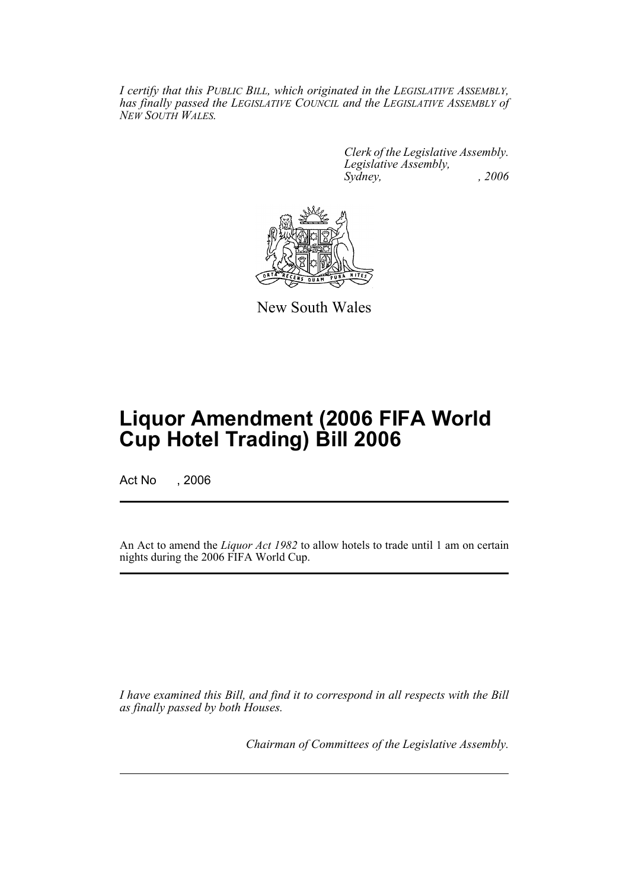*I certify that this PUBLIC BILL, which originated in the LEGISLATIVE ASSEMBLY, has finally passed the LEGISLATIVE COUNCIL and the LEGISLATIVE ASSEMBLY of NEW SOUTH WALES.*

> *Clerk of the Legislative Assembly. Legislative Assembly, Sydney, , 2006*



New South Wales

## **Liquor Amendment (2006 FIFA World Cup Hotel Trading) Bill 2006**

Act No , 2006

An Act to amend the *Liquor Act 1982* to allow hotels to trade until 1 am on certain nights during the 2006 FIFA World Cup.

*I have examined this Bill, and find it to correspond in all respects with the Bill as finally passed by both Houses.*

*Chairman of Committees of the Legislative Assembly.*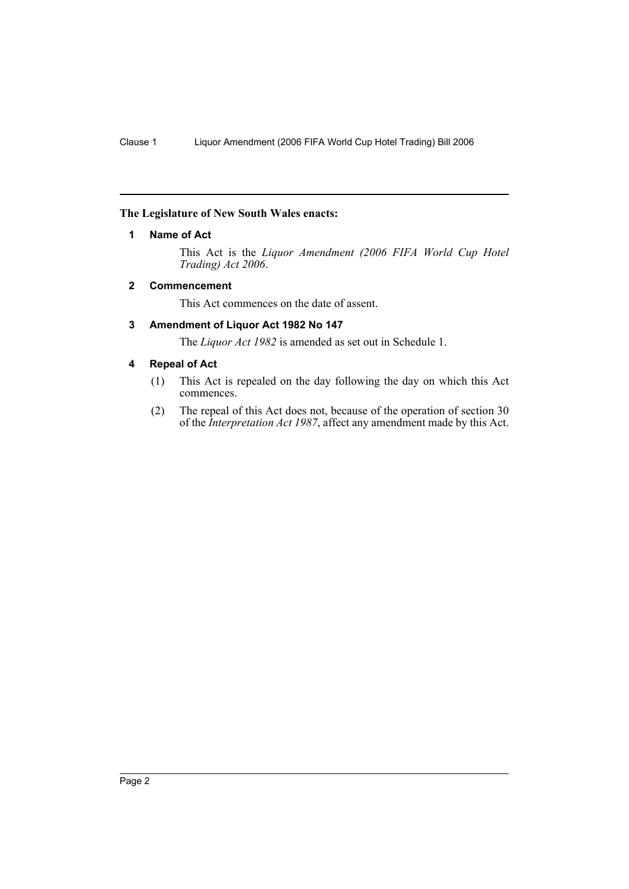#### **The Legislature of New South Wales enacts:**

#### **1 Name of Act**

This Act is the *Liquor Amendment (2006 FIFA World Cup Hotel Trading) Act 2006*.

#### **2 Commencement**

This Act commences on the date of assent.

#### **3 Amendment of Liquor Act 1982 No 147**

The *Liquor Act 1982* is amended as set out in Schedule 1.

#### **4 Repeal of Act**

- (1) This Act is repealed on the day following the day on which this Act commences.
- (2) The repeal of this Act does not, because of the operation of section 30 of the *Interpretation Act 1987*, affect any amendment made by this Act.